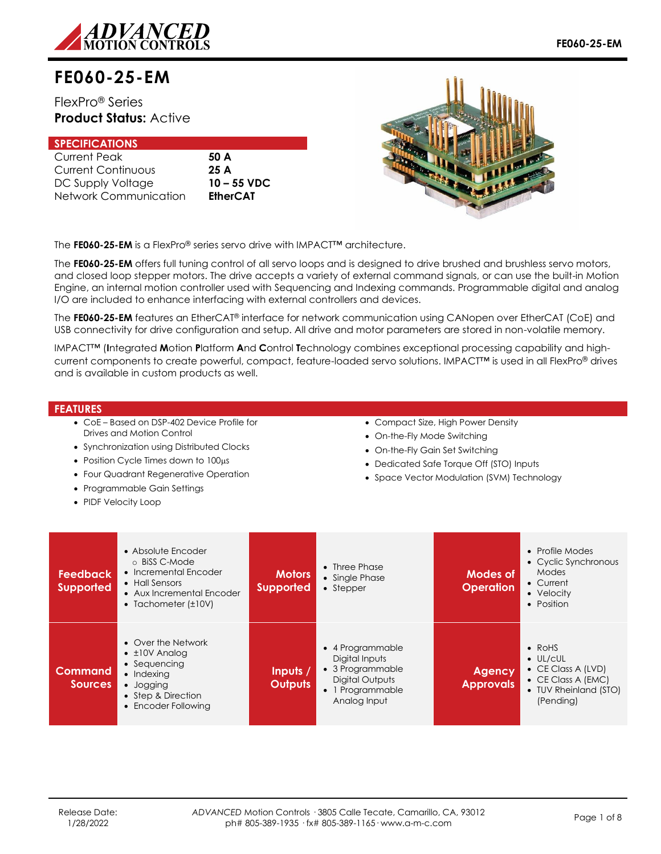

# **FE060-25-EM**

# FlexPro® Series **Product Status:** Active

| <b>SPECIFICATIONS</b>     |                 |
|---------------------------|-----------------|
| <b>Current Peak</b>       | 50 A            |
| <b>Current Continuous</b> | 25A             |
| DC Supply Voltage         | $10 - 55$ VDC   |
| Network Communication     | <b>EtherCAT</b> |



The **FE060-25-EM** is a FlexPro® series servo drive with IMPACT™ architecture.

The **FE060-25-EM** offers full tuning control of all servo loops and is designed to drive brushed and brushless servo motors, and closed loop stepper motors. The drive accepts a variety of external command signals, or can use the built-in Motion Engine, an internal motion controller used with Sequencing and Indexing commands. Programmable digital and analog I/O are included to enhance interfacing with external controllers and devices.

The **FE060-25-EM** features an EtherCAT® interface for network communication using CANopen over EtherCAT (CoE) and USB connectivity for drive configuration and setup. All drive and motor parameters are stored in non-volatile memory.

IMPACT™ (**I**ntegrated **M**otion **P**latform **A**nd **C**ontrol **T**echnology combines exceptional processing capability and highcurrent components to create powerful, compact, feature-loaded servo solutions. IMPACT™ is used in all FlexPro® drives and is available in custom products as well.

#### **FEATURES**

- CoE Based on DSP-402 Device Profile for Drives and Motion Control
- Synchronization using Distributed Clocks
- Position Cycle Times down to 100us
- Four Quadrant Regenerative Operation
- Programmable Gain Settings
- PIDF Velocity Loop
- Compact Size, High Power Density
- On-the-Fly Mode Switching
- On-the-Fly Gain Set Switching
- Dedicated Safe Torque Off (STO) Inputs
- Space Vector Modulation (SVM) Technology

| <b>Feedback</b><br><b>Supported</b> | • Absolute Encoder<br>⊙ BiSS C-Mode<br>• Incremental Encoder<br>• Hall Sensors<br>• Aux Incremental Encoder<br>• Tachometer $(\pm 10V)$          | <b>Motors</b><br><b>Supported</b> | $\bullet$ Three Phase<br>• Single Phase<br>• Stepper                                                        | Modes of<br><b>Operation</b> | • Profile Modes<br>• Cyclic Synchronous<br>Modes<br>$\bullet$ Current<br>• Velocity<br>• Position                                    |
|-------------------------------------|--------------------------------------------------------------------------------------------------------------------------------------------------|-----------------------------------|-------------------------------------------------------------------------------------------------------------|------------------------------|--------------------------------------------------------------------------------------------------------------------------------------|
| <b>Command</b><br><b>Sources</b>    | • Over the Network<br>$\bullet$ $\pm$ 10V Analog<br>• Sequencing<br>$\bullet$ Indexing<br>• Jogging<br>• Step & Direction<br>• Encoder Following | lnputs/<br><b>Outputs</b>         | • 4 Programmable<br>Digital Inputs<br>• 3 Programmable<br>Digital Outputs<br>1 Programmable<br>Analog Input | Agency<br><b>Approvals</b>   | $\bullet$ RoHS<br>$\bullet$ UL/cUL<br>$\bullet$ CE Class A (LVD)<br>$\bullet$ CE Class A (EMC)<br>• TUV Rheinland (STO)<br>(Pending) |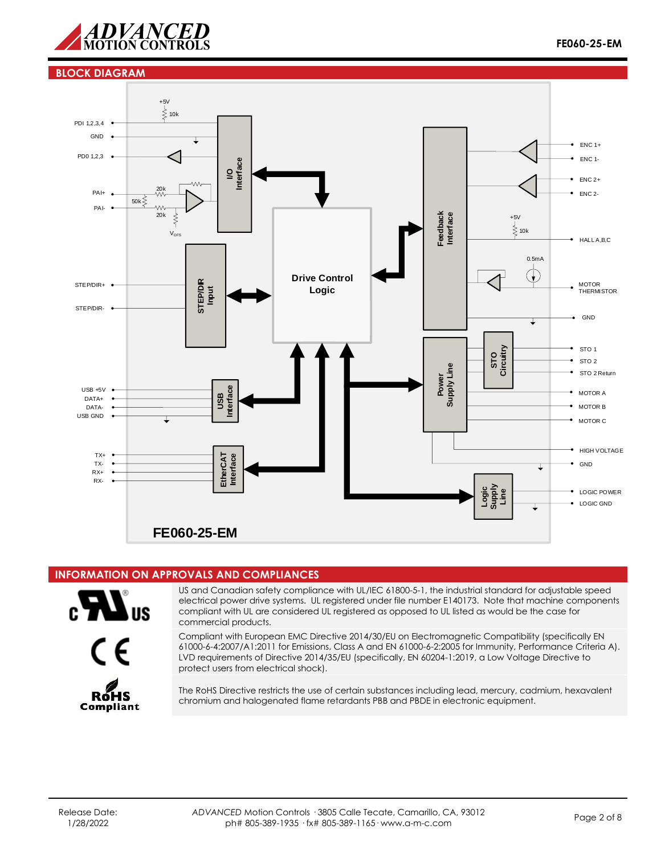

#### **BLOCK DIAGRAM**



## **INFORMATION ON APPROVALS AND COMPLIANCES**





US and Canadian safety compliance with UL/IEC 61800-5-1, the industrial standard for adjustable speed electrical power drive systems. UL registered under file number E140173. Note that machine components compliant with UL are considered UL registered as opposed to UL listed as would be the case for commercial products.

Compliant with European EMC Directive 2014/30/EU on Electromagnetic Compatibility (specifically EN 61000-6-4:2007/A1:2011 for Emissions, Class A and EN 61000-6-2:2005 for Immunity, Performance Criteria A). LVD requirements of Directive 2014/35/EU (specifically, EN 60204-1:2019, a Low Voltage Directive to protect users from electrical shock).



The RoHS Directive restricts the use of certain substances including lead, mercury, cadmium, hexavalent chromium and halogenated flame retardants PBB and PBDE in electronic equipment.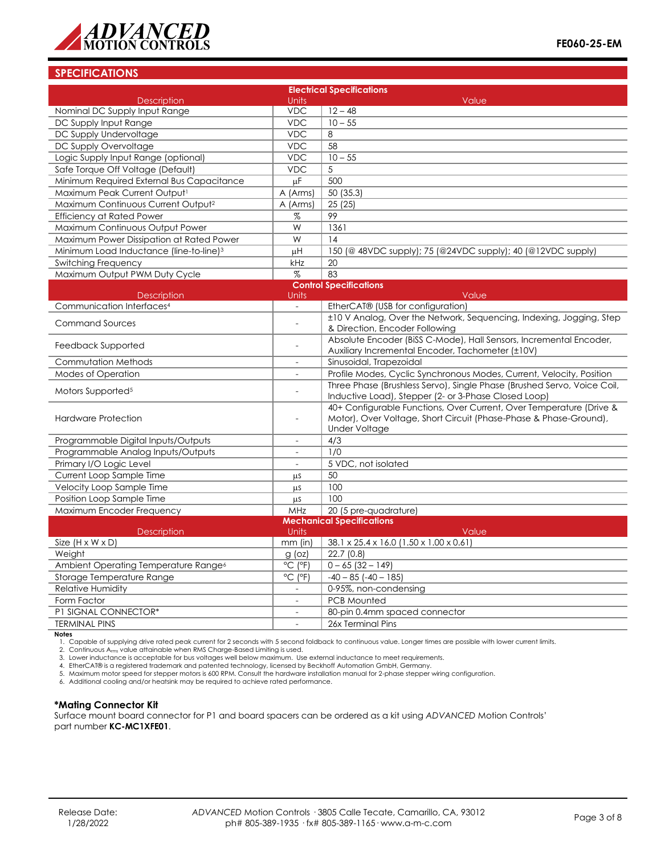

## **SPECIFICATIONS**

|                                                     |                              | <b>Electrical Specifications</b>                                        |  |
|-----------------------------------------------------|------------------------------|-------------------------------------------------------------------------|--|
| <b>Description</b>                                  | Units                        | Value                                                                   |  |
| Nominal DC Supply Input Range                       | <b>VDC</b>                   | $12 - 48$                                                               |  |
| DC Supply Input Range                               | <b>VDC</b>                   | $10 - 55$                                                               |  |
| DC Supply Undervoltage                              | <b>VDC</b>                   | 8                                                                       |  |
| DC Supply Overvoltage                               | <b>VDC</b>                   | 58                                                                      |  |
| Logic Supply Input Range (optional)                 | <b>VDC</b>                   | $10 - 55$                                                               |  |
| Safe Torque Off Voltage (Default)                   | <b>VDC</b>                   | 5                                                                       |  |
| Minimum Required External Bus Capacitance           | $\overline{\mu}$ F           | 500                                                                     |  |
| Maximum Peak Current Output <sup>1</sup>            | A (Arms)                     | 50 (35.3)                                                               |  |
| Maximum Continuous Current Output <sup>2</sup>      | A (Arms)                     | 25 (25)                                                                 |  |
| <b>Efficiency at Rated Power</b>                    | $\%$                         | 99                                                                      |  |
| Maximum Continuous Output Power                     | W                            | 1361                                                                    |  |
| Maximum Power Dissipation at Rated Power            | W                            | 14                                                                      |  |
| Minimum Load Inductance (line-to-line) <sup>3</sup> | μH                           | 150 (@ 48VDC supply); 75 (@24VDC supply); 40 (@12VDC supply)            |  |
| Switching Frequency                                 | kHz                          | 20                                                                      |  |
| Maximum Output PWM Duty Cycle                       | %                            | 83                                                                      |  |
|                                                     |                              | <b>Control Specifications</b>                                           |  |
| <b>Description</b>                                  | Units                        | Value                                                                   |  |
| Communication Interfaces <sup>4</sup>               |                              | EtherCAT® (USB for configuration)                                       |  |
|                                                     |                              | ±10 V Analog, Over the Network, Sequencing, Indexing, Jogging, Step     |  |
| <b>Command Sources</b>                              | L,                           | & Direction, Encoder Following                                          |  |
|                                                     | L.                           | Absolute Encoder (BiSS C-Mode), Hall Sensors, Incremental Encoder,      |  |
| Feedback Supported                                  |                              | Auxiliary Incremental Encoder, Tachometer (±10V)                        |  |
| Commutation Methods                                 | $\overline{\phantom{a}}$     | Sinusoidal, Trapezoidal                                                 |  |
| <b>Modes of Operation</b>                           | $\overline{a}$               | Profile Modes, Cyclic Synchronous Modes, Current, Velocity, Position    |  |
| Motors Supported <sup>5</sup>                       | L,                           | Three Phase (Brushless Servo), Single Phase (Brushed Servo, Voice Coil, |  |
|                                                     |                              | Inductive Load), Stepper (2- or 3-Phase Closed Loop)                    |  |
|                                                     |                              | 40+ Configurable Functions, Over Current, Over Temperature (Drive &     |  |
| <b>Hardware Protection</b>                          |                              | Motor), Over Voltage, Short Circuit (Phase-Phase & Phase-Ground),       |  |
|                                                     |                              | <b>Under Voltage</b>                                                    |  |
| Programmable Digital Inputs/Outputs                 |                              | 4/3                                                                     |  |
| Programmable Analog Inputs/Outputs                  |                              | 1/0                                                                     |  |
| Primary I/O Logic Level                             | $\overline{a}$               | 5 VDC, not isolated                                                     |  |
| Current Loop Sample Time                            | μS                           | 50                                                                      |  |
| Velocity Loop Sample Time                           | μs                           | 100                                                                     |  |
| Position Loop Sample Time                           | μs                           | 100                                                                     |  |
| Maximum Encoder Frequency                           | MHz                          | 20 (5 pre-quadrature)                                                   |  |
|                                                     |                              | <b>Mechanical Specifications</b>                                        |  |
| Description                                         | <b>Units</b>                 | Value                                                                   |  |
| Size $(H \times W \times D)$                        | $mm$ (in)                    | 38.1 x 25.4 x 16.0 (1.50 x 1.00 x 0.61)                                 |  |
| Weight                                              | $g$ (oz)                     | 22.7(0.8)                                                               |  |
| Ambient Operating Temperature Range <sup>6</sup>    | $^{\circ}$ C ( $^{\circ}$ F) | $0 - 65$ (32 - 149)                                                     |  |
| Storage Temperature Range                           | $^{\circ}$ C ( $^{\circ}$ F) | $-40 - 85$ ( $-40 - 185$ )                                              |  |
| <b>Relative Humidity</b>                            |                              | 0-95%, non-condensing                                                   |  |
| Form Factor                                         |                              | <b>PCB Mounted</b>                                                      |  |
| P1 SIGNAL CONNECTOR*                                | $\sim$                       | 80-pin 0.4mm spaced connector                                           |  |
| <b>TERMINAL PINS</b>                                |                              | 26x Terminal Pins                                                       |  |

#### **Notes**

1. Capable of supplying drive rated peak current for 2 seconds with 5 second foldback to continuous value. Longer times are possible with lower current limits.<br>2. Continuous A<sub>rms</sub> value attainable when RMS Charge-Based Li

5. Maximum motor speed for stepper motors is 600 RPM. Consult the hardware installation manual for 2-phase stepper wiring configuration.

6. Additional cooling and/or heatsink may be required to achieve rated performance.

#### **\*Mating Connector Kit**

Surface mount board connector for P1 and board spacers can be ordered as a kit using *ADVANCED* Motion Controls' part number **KC-MC1XFE01**.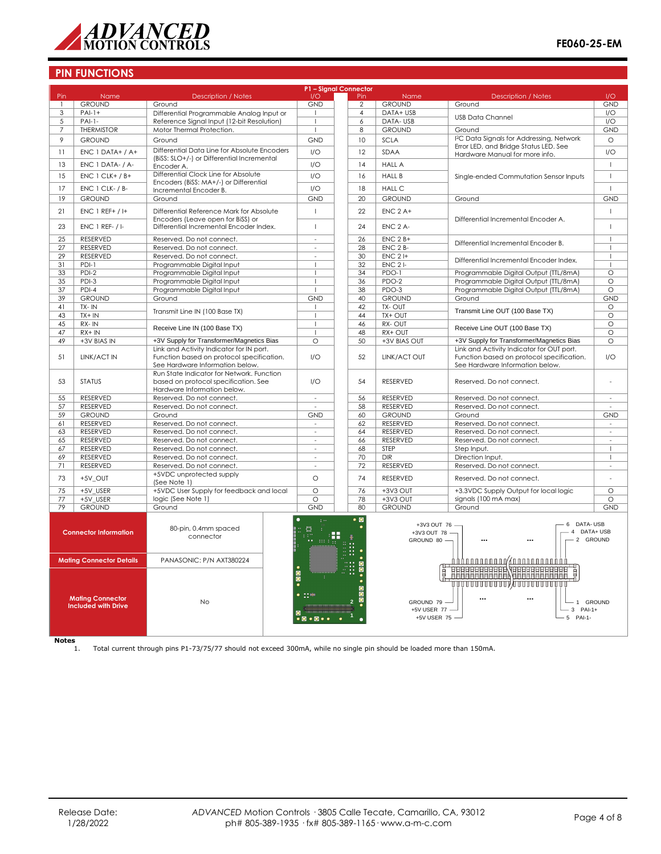

## **PIN FUNCTIONS**

|                 |                                                       |                                                                                | P1 - Signal Connector         |                 |                         |                                                                                                |                    |
|-----------------|-------------------------------------------------------|--------------------------------------------------------------------------------|-------------------------------|-----------------|-------------------------|------------------------------------------------------------------------------------------------|--------------------|
| Pin             | Name                                                  | <b>Description / Notes</b>                                                     | I/O                           | Pin             | Name                    | <b>Description / Notes</b>                                                                     | 1/O                |
|                 | <b>GROUND</b>                                         | Ground                                                                         | <b>GND</b>                    | $\overline{2}$  | <b>GROUND</b>           | Ground                                                                                         | <b>GND</b>         |
| $\overline{3}$  | $PAI-1+$                                              | Differential Programmable Analog Input or                                      |                               | $\overline{4}$  | DATA+ USB               | <b>USB Data Channel</b>                                                                        | 1/O                |
| 5               | $PAI-1-$                                              | Reference Signal Input (12-bit Resolution)                                     | $\mathbf{I}$                  | 6               | DATA-USB                |                                                                                                | I/O                |
| $\overline{7}$  | <b>THERMISTOR</b>                                     | Motor Thermal Protection.                                                      | $\mathbf{I}$                  | 8               | <b>GROUND</b>           | Ground                                                                                         | <b>GND</b>         |
| 9               | <b>GROUND</b>                                         | Ground                                                                         | <b>GND</b>                    | 10              | <b>SCLA</b>             | I <sup>2</sup> C Data Signals for Addressing, Network<br>Error LED, and Bridge Status LED. See | $\circ$            |
| 11              | $ENC 1 DATA+ / A+$                                    | Differential Data Line for Absolute Encoders                                   | I/O                           | 12              | SDAA                    | Hardware Manual for more info.                                                                 | 1/O                |
| 13              | ENC 1 DATA- / A-                                      | (BiSS: SLO+/-) or Differential Incremental                                     | 1/O                           | 14              | <b>HALL A</b>           |                                                                                                | $\mathbf{I}$       |
|                 |                                                       | Encoder A.                                                                     |                               |                 |                         |                                                                                                |                    |
| 15              | $ENC 1 CLK+ / B+$                                     | Differential Clock Line for Absolute<br>Encoders (BiSS: MA+/-) or Differential | I/O                           | 16              | <b>HALL B</b>           | Single-ended Commutation Sensor Inputs                                                         | $\mathbf{I}$       |
| 17              | ENC 1 CLK- / B-                                       | Incremental Encoder B.                                                         | I/O                           | 18              | <b>HALL C</b>           |                                                                                                | $\mathbf{I}$       |
| 19              | <b>GROUND</b>                                         | Ground                                                                         | <b>GND</b>                    | 20              | <b>GROUND</b>           | Ground                                                                                         | <b>GND</b>         |
|                 |                                                       |                                                                                |                               |                 |                         |                                                                                                |                    |
| 21              | $ENC$ 1 REF+ / I+                                     | Differential Reference Mark for Absolute<br>Encoders (Leave open for BiSS) or  | $\overline{1}$                | 22              | $ENC$ 2 A+              | Differential Incremental Encoder A.                                                            | $\mathbf{I}$       |
| 23              | <b>ENC 1 REF- / I-</b>                                | Differential Incremental Encoder Index.                                        | $\mathbf{I}$                  | 24              | ENC 2 A-                |                                                                                                | $\overline{1}$     |
|                 |                                                       |                                                                                |                               |                 |                         |                                                                                                |                    |
| $\overline{25}$ | <b>RESERVED</b>                                       | Reserved. Do not connect.                                                      | $\overline{\phantom{a}}$      | $\overline{26}$ | $ENC 2B+$               | Differential Incremental Encoder B.                                                            | $\mathbf{I}$       |
| 27              | <b>RESERVED</b>                                       | Reserved. Do not connect.                                                      | $\sim$                        | 28              | ENC 2 B-                |                                                                                                | $\mathbf{I}$       |
| 29              | <b>RESERVED</b>                                       | Reserved. Do not connect.                                                      | ÷.                            | 30              | $ENC$ 2 $H$             | Differential Incremental Encoder Index.                                                        | $\mathbf{I}$       |
| 31<br>33        | $PDI-1$<br>$PDI-2$                                    | Programmable Digital Input<br>Programmable Digital Input                       | $\mathbf{I}$                  | 32<br>34        | $ENC$ 2 $I-$<br>$PDO-1$ | Programmable Digital Output (TTL/8mA)                                                          | п<br>$\circ$       |
| $\overline{35}$ | PDI-3                                                 | Programmable Digital Input                                                     | $\mathbf{I}$                  | 36              | $PDO-2$                 | Programmable Digital Output (TTL/8mA)                                                          | $\circ$            |
| 37              | PDI-4                                                 | Programmable Digital Input                                                     |                               | 38              | PDO-3                   | Programmable Digital Output (TTL/8mA)                                                          | $\circ$            |
| 39              | <b>GROUND</b>                                         | Ground                                                                         | <b>GND</b>                    | 40              | <b>GROUND</b>           | Ground                                                                                         | <b>GND</b>         |
| 41              | $TX - IN$                                             |                                                                                | -1                            | 42              | TX-OUT                  |                                                                                                | O                  |
| 43              | $TX + IN$                                             | Transmit Line IN (100 Base TX)                                                 | $\overline{1}$                | 44              | TX+ OUT                 | Transmit Line OUT (100 Base TX)                                                                | $\circ$            |
| 45              | $RX - IN$                                             |                                                                                | $\mathbf{I}$                  | 46              | RX-OUT                  |                                                                                                | $\overline{\circ}$ |
| 47              | $RX + IN$                                             | Receive Line IN (100 Base TX)                                                  |                               | 48              | RX+ OUT                 | Receive Line OUT (100 Base TX)                                                                 | $\circ$            |
| 49              | +3V BIAS IN                                           | +3V Supply for Transformer/Magnetics Bias                                      | $\circ$                       | 50              | +3V BIAS OUT            | +3V Supply for Transformer/Magnetics Bias                                                      | O                  |
|                 |                                                       | Link and Activity Indicator for IN port.                                       |                               |                 |                         | Link and Activity Indicator for OUT port.                                                      |                    |
| 51              | LINK/ACT IN                                           | Function based on protocol specification.                                      | I/O                           | 52              | LINK/ACT OUT            | Function based on protocol specification.                                                      | I/O                |
|                 |                                                       | See Hardware Information below.                                                |                               |                 |                         | See Hardware Information below.                                                                |                    |
|                 |                                                       | Run State Indicator for Network. Function                                      |                               |                 |                         |                                                                                                |                    |
| 53              | <b>STATUS</b>                                         | based on protocol specification. See                                           | 1/O                           | 54              | <b>RESERVED</b>         | Reserved. Do not connect.                                                                      | ä,                 |
|                 |                                                       | Hardware Information below.                                                    |                               |                 |                         |                                                                                                |                    |
| 55              | RESERVED                                              | Reserved. Do not connect.                                                      | ÷.                            | 56              | RESERVED                | Reserved. Do not connect.                                                                      | $\mathbf{r}$       |
| 57              | <b>RESERVED</b>                                       | Reserved. Do not connect.                                                      |                               | 58              | <b>RESERVED</b>         | Reserved. Do not connect.                                                                      |                    |
| 59              | <b>GROUND</b>                                         | Ground                                                                         | <b>GND</b>                    | 60              | <b>GROUND</b>           | Ground                                                                                         | <b>GND</b>         |
| 61              | RESERVED                                              | Reserved. Do not connect.                                                      | $\sim$                        | 62              | RESERVED                | Reserved. Do not connect.                                                                      | $\sim$             |
| 63              | RESERVED                                              | Reserved. Do not connect.                                                      | $\sim$                        | 64              | RESERVED                | Reserved. Do not connect.                                                                      | $\sim$             |
| 65              | <b>RESERVED</b>                                       | Reserved. Do not connect.                                                      | $\sim$                        | 66              | <b>RESERVED</b>         | Reserved. Do not connect.                                                                      |                    |
| 67              | <b>RESERVED</b>                                       | Reserved. Do not connect.                                                      | $\overline{\phantom{a}}$      | 68              | STEP                    | Step Input.                                                                                    | -1                 |
| 69              | RESERVED                                              | Reserved. Do not connect.                                                      | $\sim$                        | 70              | <b>DIR</b>              | Direction Input.                                                                               | $\mathbf{I}$       |
| 71              | RESERVED                                              | Reserved. Do not connect.                                                      |                               | 72              | RESERVED                | Reserved. Do not connect.                                                                      | $\sim$             |
| 73              | +5V_OUT                                               | +5VDC unprotected supply<br>(See Note 1)                                       | $\circ$                       | 74              | RESERVED                | Reserved. Do not connect.                                                                      |                    |
| 75              | +5V USER                                              | +5VDC User Supply for feedback and local                                       | $\circ$                       | 76              | +3V3 OUT                | +3.3VDC Supply Output for local logic                                                          | $\circ$            |
| $\overline{77}$ | +5V USER                                              | logic (See Note 1)                                                             | $\Omega$                      | 78              | $+3V3$ OUT              | signals (100 mA max)                                                                           | $\circ$            |
| 79              | <b>GROUND</b>                                         | Ground                                                                         | <b>GND</b>                    | 80              | <b>GROUND</b>           | Ground                                                                                         | <b>GND</b>         |
|                 |                                                       |                                                                                |                               |                 |                         |                                                                                                |                    |
|                 |                                                       |                                                                                | $\lesssim 10$                 | $\bullet$ 0     | +3V3 OUT 76 -           | 6 DATA-USB                                                                                     |                    |
|                 | <b>Connector Information</b>                          | 80-pin, 0.4mm spaced                                                           | L<br>- 11                     |                 | +3V3 OUT 78 -           | 4                                                                                              | DATA+ USB          |
|                 |                                                       | connector                                                                      | $\pm\pm\pm$                   |                 | GROUND 80 -             | 2 GROUND<br><br>$\ddotsc$                                                                      |                    |
|                 |                                                       |                                                                                |                               |                 |                         |                                                                                                |                    |
|                 | <b>Mating Connector Details</b>                       | PANASONIC: P/N AXT380224                                                       |                               |                 |                         |                                                                                                |                    |
|                 |                                                       |                                                                                |                               |                 |                         |                                                                                                |                    |
|                 |                                                       |                                                                                | $\frac{1}{2}$                 |                 |                         | <b>HELLER HELLER SERVER AND DELLER BEER FOR A SERVER AND FOR A SERVER PROPERTY.</b><br>目       |                    |
|                 |                                                       |                                                                                |                               |                 |                         | ,,,,,,,,,,,,,,,,,,,,,,,,,,,,,,,                                                                |                    |
|                 |                                                       |                                                                                |                               |                 |                         |                                                                                                |                    |
|                 | <b>Mating Connector</b><br><b>Included with Drive</b> | <b>No</b>                                                                      |                               |                 | GROUND 79               | $\ddotsc$<br>$\ddotsc$<br>1 GROUND                                                             |                    |
|                 |                                                       |                                                                                |                               |                 | +5V USER 77 -           | $3$ PAI-1+                                                                                     |                    |
|                 |                                                       |                                                                                | $\bullet$ $\bullet$ $\bullet$ |                 | +5V USER 75 -           | 5 PAI-1-                                                                                       |                    |
|                 |                                                       |                                                                                |                               |                 |                         |                                                                                                |                    |
|                 |                                                       |                                                                                |                               |                 |                         |                                                                                                |                    |

**Notes** 1. Total current through pins P1-73/75/77 should not exceed 300mA, while no single pin should be loaded more than 150mA.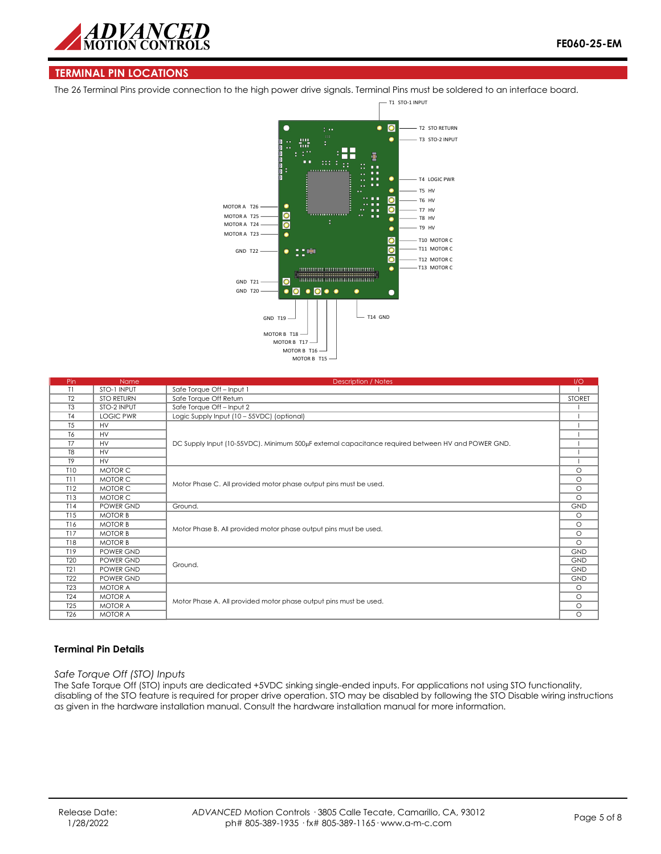

## **TERMINAL PIN LOCATIONS**

The 26 Terminal Pins provide connection to the high power drive signals. Terminal Pins must be soldered to an interface board.



| Pin             | <b>Name</b>       | <b>Description / Notes</b>                                                                        | 1/O           |
|-----------------|-------------------|---------------------------------------------------------------------------------------------------|---------------|
| T1              | STO-1 INPUT       | Safe Torque Off - Input 1                                                                         |               |
| T <sub>2</sub>  | <b>STO RETURN</b> | Safe Torque Off Return                                                                            | <b>STORET</b> |
| T <sub>3</sub>  | STO-2 INPUT       | Safe Torque Off - Input 2                                                                         |               |
| T <sub>4</sub>  | <b>LOGIC PWR</b>  | Logic Supply Input (10 - 55VDC) (optional)                                                        |               |
| T <sub>5</sub>  | <b>HV</b>         |                                                                                                   |               |
| T <sub>6</sub>  | <b>HV</b>         |                                                                                                   |               |
| T <sub>7</sub>  | <b>HV</b>         | DC Supply Input (10-55VDC). Minimum 500µF external capacitance required between HV and POWER GND. |               |
| T <sub>8</sub>  | <b>HV</b>         |                                                                                                   |               |
| T <sub>9</sub>  | <b>HV</b>         |                                                                                                   |               |
| <b>T10</b>      | MOTOR C           |                                                                                                   | $\circ$       |
| T11             | MOTOR C           |                                                                                                   | $\circ$       |
| T12             | MOTOR C           | Motor Phase C. All provided motor phase output pins must be used.                                 | $\circ$       |
| T13             | MOTOR C           |                                                                                                   |               |
| T14             | POWER GND         | Ground.                                                                                           | <b>GND</b>    |
| T15             | <b>MOTOR B</b>    |                                                                                                   | $\circ$       |
| T16             | <b>MOTOR B</b>    | Motor Phase B. All provided motor phase output pins must be used.                                 | $\circ$       |
| T17             | <b>MOTOR B</b>    |                                                                                                   | $\circ$       |
| <b>T18</b>      | <b>MOTOR B</b>    |                                                                                                   |               |
| T19             | POWER GND         |                                                                                                   | <b>GND</b>    |
| T <sub>20</sub> | POWER GND         | Ground.                                                                                           | <b>GND</b>    |
| T21             | POWER GND         |                                                                                                   | <b>GND</b>    |
| T <sub>22</sub> | POWER GND         |                                                                                                   | <b>GND</b>    |
| <b>T23</b>      | <b>MOTOR A</b>    |                                                                                                   | $\circ$       |
| <b>T24</b>      | <b>MOTOR A</b>    |                                                                                                   | $\circ$       |
| <b>T25</b>      | <b>MOTOR A</b>    | Motor Phase A. All provided motor phase output pins must be used.                                 | $\circ$       |
| T <sub>26</sub> | <b>MOTOR A</b>    |                                                                                                   | $\circ$       |

#### **Terminal Pin Details**

*Safe Torque Off (STO) Inputs*

The Safe Torque Off (STO) inputs are dedicated +5VDC sinking single-ended inputs. For applications not using STO functionality, disabling of the STO feature is required for proper drive operation. STO may be disabled by following the STO Disable wiring instructions as given in the hardware installation manual. Consult the hardware installation manual for more information.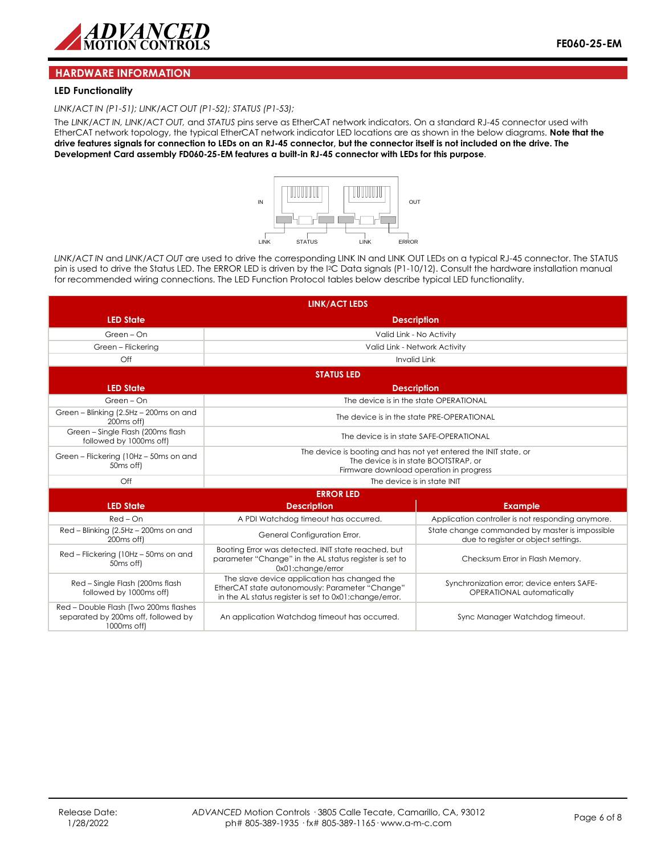

#### **HARDWARE INFORMATION**

#### **LED Functionality**

*LINK/ACT IN (P1-51); LINK/ACT OUT (P1-52); STATUS (P1-53);* 

The *LINK/ACT IN, LINK/ACT OUT,* and *STATUS* pins serve as EtherCAT network indicators. On a standard RJ-45 connector used with EtherCAT network topology, the typical EtherCAT network indicator LED locations are as shown in the below diagrams. **Note that the drive features signals for connection to LEDs on an RJ-45 connector, but the connector itself is not included on the drive. The Development Card assembly FD060-25-EM features a built-in RJ-45 connector with LEDs for this purpose**.



*LINK/ACT IN* and *LINK/ACT OUT* are used to drive the corresponding LINK IN and LINK OUT LEDs on a typical RJ-45 connector. The STATUS pin is used to drive the Status LED. The ERROR LED is driven by the I2C Data signals (P1-10/12). Consult the hardware installation manual for recommended wiring connections. The LED Function Protocol tables below describe typical LED functionality.

|                                                                                             | <b>LINK/ACT LEDS</b>                                                                                                                                       |                                                                                       |  |  |
|---------------------------------------------------------------------------------------------|------------------------------------------------------------------------------------------------------------------------------------------------------------|---------------------------------------------------------------------------------------|--|--|
| <b>LED State</b>                                                                            | <b>Description</b>                                                                                                                                         |                                                                                       |  |  |
| Green - On                                                                                  | Valid Link - No Activity                                                                                                                                   |                                                                                       |  |  |
| Green - Flickering                                                                          | Valid Link - Network Activity                                                                                                                              |                                                                                       |  |  |
| Off                                                                                         | <b>Invalid Link</b>                                                                                                                                        |                                                                                       |  |  |
|                                                                                             | <b>STATUS LED</b>                                                                                                                                          |                                                                                       |  |  |
| <b>LED State</b>                                                                            |                                                                                                                                                            | <b>Description</b>                                                                    |  |  |
| Green - On                                                                                  | The device is in the state OPERATIONAL                                                                                                                     |                                                                                       |  |  |
| Green - Blinking (2.5Hz - 200ms on and<br>200 <sub>ms</sub> off)                            |                                                                                                                                                            | The device is in the state PRE-OPERATIONAL                                            |  |  |
| Green - Single Flash (200ms flash<br>followed by 1000ms off)                                | The device is in state SAFE-OPERATIONAL                                                                                                                    |                                                                                       |  |  |
| Green - Flickering (10Hz - 50ms on and<br>50 <sub>ms</sub> off)                             | The device is booting and has not yet entered the INIT state, or<br>The device is in state BOOTSTRAP, or<br>Firmware download operation in progress        |                                                                                       |  |  |
| $\bigcirc$ ff                                                                               | The device is in state INIT                                                                                                                                |                                                                                       |  |  |
|                                                                                             | <b>ERROR LED</b>                                                                                                                                           |                                                                                       |  |  |
| <b>LED State</b>                                                                            | <b>Description</b>                                                                                                                                         | <b>Example</b>                                                                        |  |  |
| $Red$ – $On$                                                                                | A PDI Watchdog timeout has occurred.                                                                                                                       | Application controller is not responding anymore.                                     |  |  |
| Red - Blinking (2.5Hz - 200ms on and<br>200 <sub>ms</sub> off)                              | General Configuration Error.                                                                                                                               | State change commanded by master is impossible<br>due to register or object settings. |  |  |
| Red - Flickering (10Hz - 50ms on and<br>50 <sub>ms</sub> off)                               | Booting Error was detected. INIT state reached, but<br>parameter "Change" in the AL status register is set to<br>0x01:change/error                         | Checksum Error in Flash Memory.                                                       |  |  |
| Red - Single Flash (200ms flash<br>followed by 1000ms off)                                  | The slave device application has changed the<br>EtherCAT state autonomously: Parameter "Change"<br>in the AL status register is set to 0x01: change/error. | Synchronization error; device enters SAFE-<br>OPERATIONAL automatically               |  |  |
| Red - Double Flash (Two 200ms flashes<br>separated by 200ms off, followed by<br>1000ms off) | An application Watchdog timeout has occurred.                                                                                                              | Sync Manager Watchdog timeout.                                                        |  |  |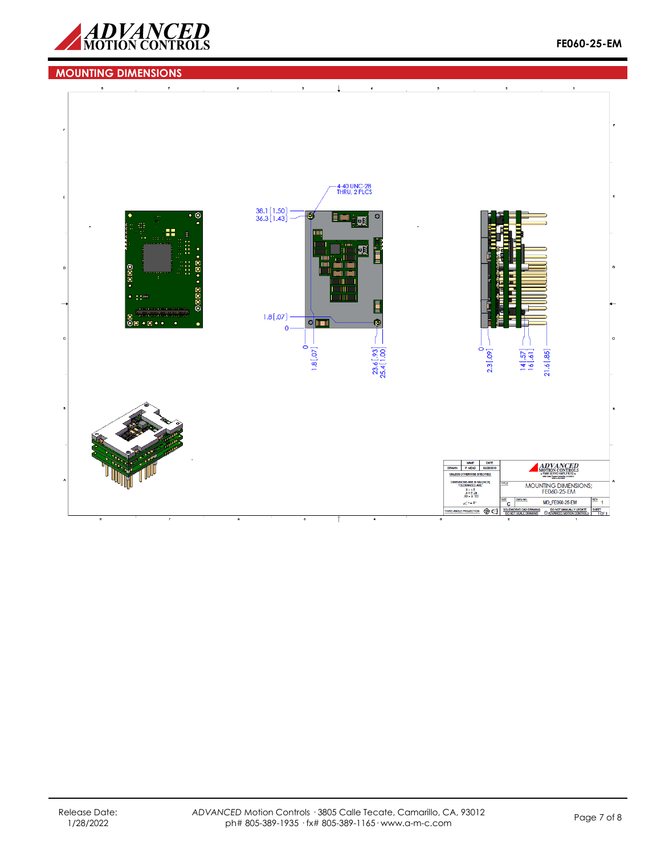

# **MOUNTING DIMENSIONS**